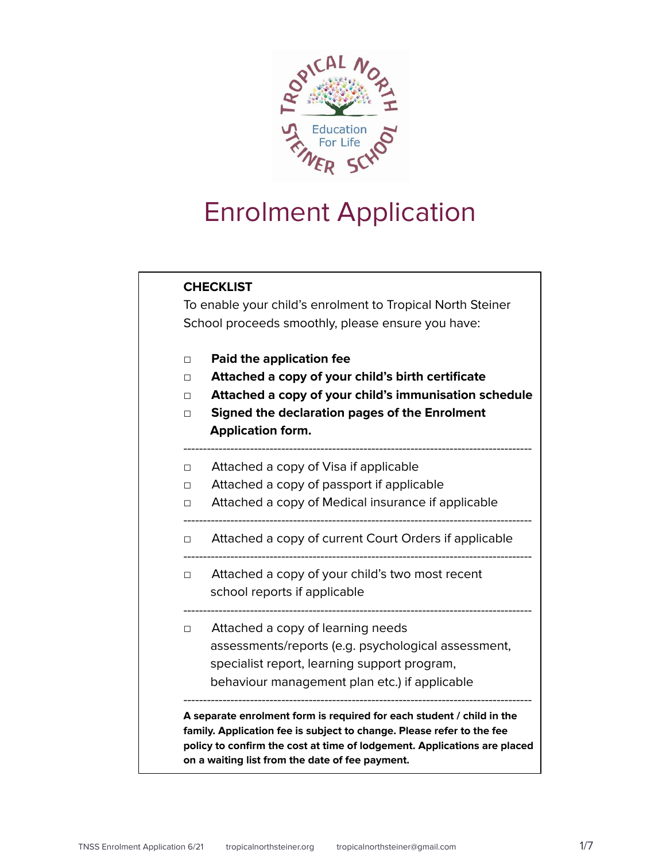

# Enrolment Application

To enable your child's enrolment to Tropical North Steiner School proceeds smoothly, please ensure you have:

- **□ Paid the application fee**
- **□ Attached a copy of your child's birth certificate**
- **□ Attached a copy of your child's immunisation schedule**
- **□ Signed the declaration pages of the Enrolment Application form.**
- -----------------------------------------------------------------------------------------
- □ Attached a copy of Visa if applicable
- □ Attached a copy of passport if applicable
- □ Attached a copy of Medical insurance if applicable
- -----------------------------------------------------------------------------------------
- □ Attached a copy of current Court Orders if applicable

-----------------------------------------------------------------------------------------

- □ Attached a copy of your child's two most recent school reports if applicable
- ----------------------------------------------------------------------------------------- □ Attached a copy of learning needs assessments/reports (e.g. psychological assessment, specialist report, learning support program, behaviour management plan etc.) if applicable

----------------------------------------------------------------------------------------- **A separate enrolment form is required for each student / child in the family. Application fee is subject to change. Please refer to the fee policy to confirm the cost at time of lodgement. Applications are placed on a waiting list from the date of fee payment.**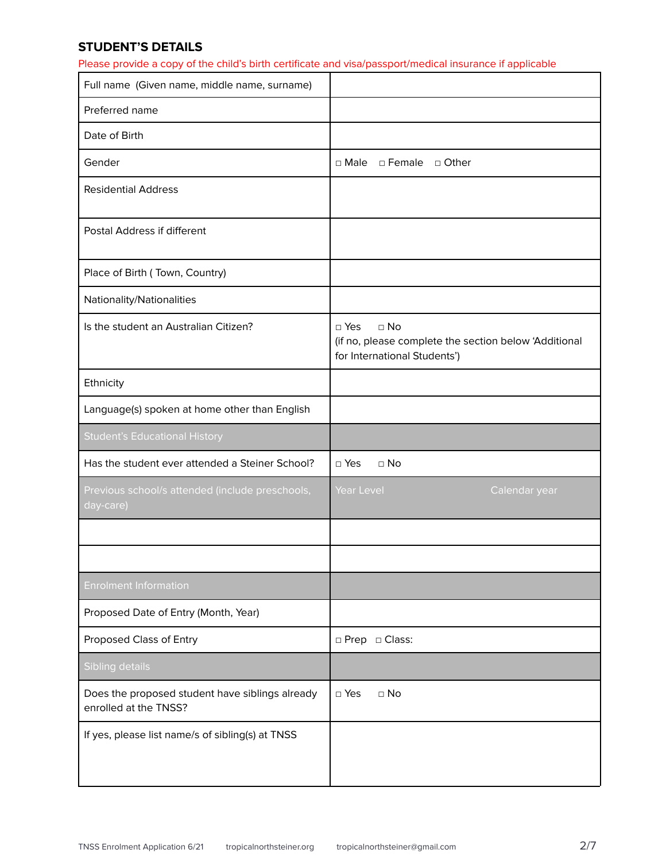## **STUDENT'S DETAILS**

Please provide a copy of the child's birth certificate and visa/passport/medical insurance if applicable

| Full name (Given name, middle name, surname)                             |                                                                                                                     |
|--------------------------------------------------------------------------|---------------------------------------------------------------------------------------------------------------------|
| Preferred name                                                           |                                                                                                                     |
| Date of Birth                                                            |                                                                                                                     |
| Gender                                                                   | □ Male □ Female □ Other                                                                                             |
| <b>Residential Address</b>                                               |                                                                                                                     |
| Postal Address if different                                              |                                                                                                                     |
| Place of Birth (Town, Country)                                           |                                                                                                                     |
| Nationality/Nationalities                                                |                                                                                                                     |
| Is the student an Australian Citizen?                                    | $\square$ Yes<br>$\Box$ No<br>(if no, please complete the section below 'Additional<br>for International Students') |
| Ethnicity                                                                |                                                                                                                     |
| Language(s) spoken at home other than English                            |                                                                                                                     |
| <b>Student's Educational History</b>                                     |                                                                                                                     |
| Has the student ever attended a Steiner School?                          | $\square$ Yes<br>$\square$ No                                                                                       |
| Previous school/s attended (include preschools,<br>day-care)             | Year Level<br>Calendar year                                                                                         |
|                                                                          |                                                                                                                     |
|                                                                          |                                                                                                                     |
| <b>Enrolment Information</b>                                             |                                                                                                                     |
| Proposed Date of Entry (Month, Year)                                     |                                                                                                                     |
| Proposed Class of Entry                                                  | □ Prep □ Class:                                                                                                     |
| Sibling details                                                          |                                                                                                                     |
| Does the proposed student have siblings already<br>enrolled at the TNSS? | $\square$ No<br>$\Box$ Yes                                                                                          |
| If yes, please list name/s of sibling(s) at TNSS                         |                                                                                                                     |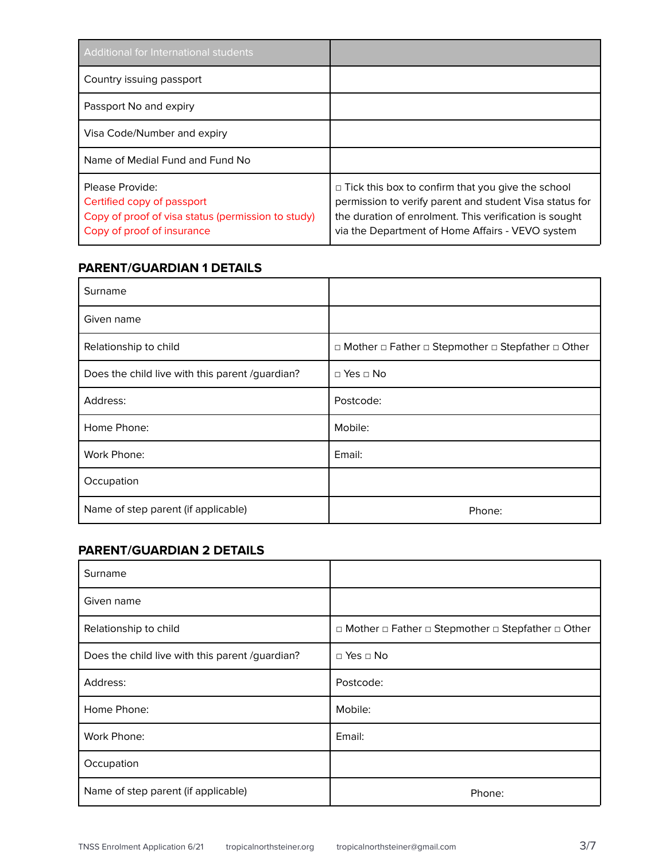| Additional for International students                                                                                             |                                                                                                                                                                                                                                   |
|-----------------------------------------------------------------------------------------------------------------------------------|-----------------------------------------------------------------------------------------------------------------------------------------------------------------------------------------------------------------------------------|
| Country issuing passport                                                                                                          |                                                                                                                                                                                                                                   |
| Passport No and expiry                                                                                                            |                                                                                                                                                                                                                                   |
| Visa Code/Number and expiry                                                                                                       |                                                                                                                                                                                                                                   |
| Name of Medial Fund and Fund No                                                                                                   |                                                                                                                                                                                                                                   |
| Please Provide:<br>Certified copy of passport<br>Copy of proof of visa status (permission to study)<br>Copy of proof of insurance | $\Box$ Tick this box to confirm that you give the school<br>permission to verify parent and student Visa status for<br>the duration of enrolment. This verification is sought<br>via the Department of Home Affairs - VEVO system |

#### **PARENT/GUARDIAN 1 DETAILS**

| Surname                                         |                                                     |
|-------------------------------------------------|-----------------------------------------------------|
| Given name                                      |                                                     |
| Relationship to child                           | □ Mother □ Father □ Stepmother □ Stepfather □ Other |
| Does the child live with this parent /guardian? | $\Box$ Yes $\Box$ No                                |
| Address:                                        | Postcode:                                           |
| Home Phone:                                     | Mobile:                                             |
| Work Phone:                                     | Email:                                              |
| Occupation                                      |                                                     |
| Name of step parent (if applicable)             | Phone:                                              |

#### **PARENT/GUARDIAN 2 DETAILS**

| Surname                                         |                                                     |
|-------------------------------------------------|-----------------------------------------------------|
| Given name                                      |                                                     |
| Relationship to child                           | □ Mother □ Father □ Stepmother □ Stepfather □ Other |
| Does the child live with this parent /guardian? | $\Box$ Yes $\Box$ No                                |
| Address:                                        | Postcode:                                           |
| Home Phone:                                     | Mobile:                                             |
| Work Phone:                                     | Email:                                              |
| Occupation                                      |                                                     |
| Name of step parent (if applicable)             | Phone:                                              |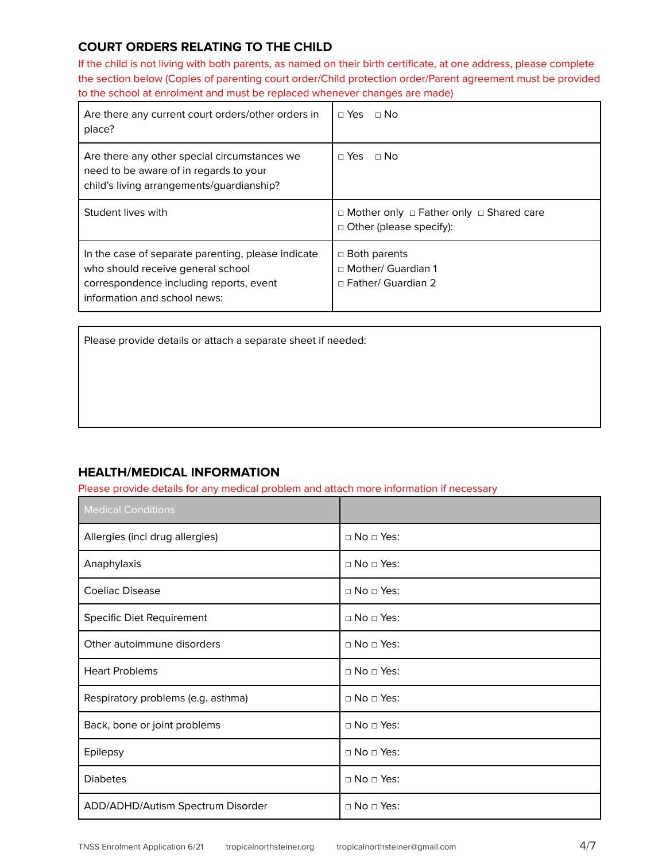## **COURT ORDERS RELATING TO THE CHILD**

If the child is not living with both parents, as named on their birth certificate, at one address, please complete the section below (Copies of parenting court order/Child protection order/Parent agreement must be provided to the school at enrolment and must be replaced whenever changes are made)

| Are there any current court orders/other orders in<br>place?                                                                                                       | $\Box$ Yes $\Box$ No                                                                       |
|--------------------------------------------------------------------------------------------------------------------------------------------------------------------|--------------------------------------------------------------------------------------------|
| Are there any other special circumstances we<br>need to be aware of in regards to your<br>child's living arrangements/guardianship?                                | $\Box$ Yes $\Box$ No                                                                       |
| Student lives with                                                                                                                                                 | $\Box$ Mother only $\Box$ Father only $\Box$ Shared care<br>$\Box$ Other (please specify): |
| In the case of separate parenting, please indicate<br>who should receive general school<br>correspondence including reports, event<br>information and school news: | $\Box$ Both parents<br>$\Box$ Mother/ Guardian 1<br>$\Box$ Father/ Guardian 2              |

Please provide details or attach a separate sheet if needed:

## **HEALTH/MEDICAL INFORMATION**

Please provide details for any medical problem and attach more information if necessary

| <b>Medical Conditions</b>          |                       |
|------------------------------------|-----------------------|
| Allergies (incl drug allergies)    | $\Box$ No $\Box$ Yes: |
| Anaphylaxis                        | $\Box$ No $\Box$ Yes: |
| Coeliac Disease                    | $\Box$ No $\Box$ Yes: |
| Specific Diet Requirement          | $\Box$ No $\Box$ Yes: |
| Other autoimmune disorders         | $\Box$ No $\Box$ Yes: |
| <b>Heart Problems</b>              | $\Box$ No $\Box$ Yes: |
| Respiratory problems (e.g. asthma) | $\Box$ No $\Box$ Yes: |
| Back, bone or joint problems       | $\Box$ No $\Box$ Yes: |
| Epilepsy                           | $\Box$ No $\Box$ Yes: |
| <b>Diabetes</b>                    | $\Box$ No $\Box$ Yes: |
| ADD/ADHD/Autism Spectrum Disorder  | $\Box$ No $\Box$ Yes: |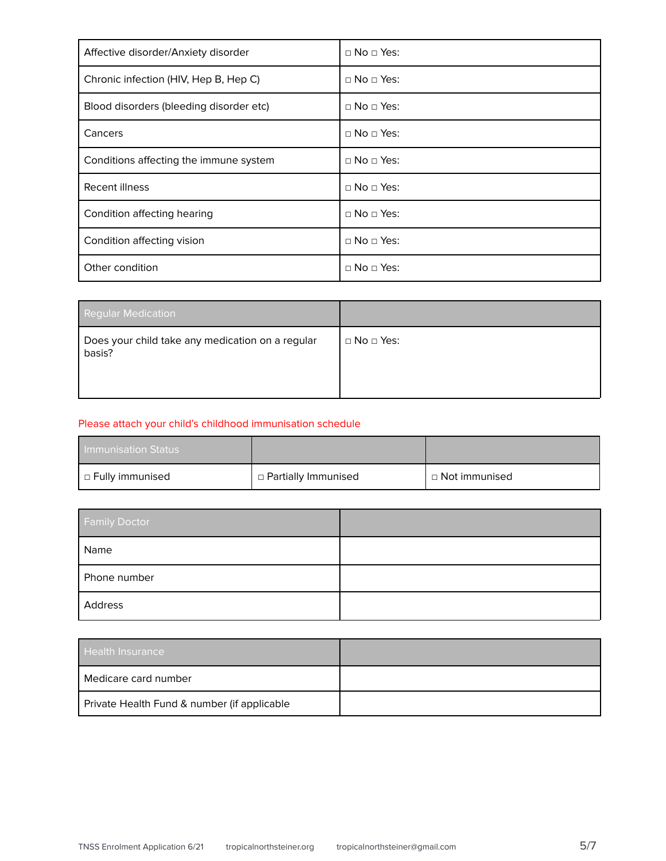| Affective disorder/Anxiety disorder     | $\Box$ No $\Box$ Yes: |
|-----------------------------------------|-----------------------|
| Chronic infection (HIV, Hep B, Hep C)   | $\Box$ No $\Box$ Yes: |
| Blood disorders (bleeding disorder etc) | $\Box$ No $\Box$ Yes: |
| Cancers                                 | $\Box$ No $\Box$ Yes: |
| Conditions affecting the immune system  | $\Box$ No $\Box$ Yes: |
| Recent illness                          | $\Box$ No $\Box$ Yes: |
| Condition affecting hearing             | $\Box$ No $\Box$ Yes: |
| Condition affecting vision              | $\Box$ No $\Box$ Yes: |
| Other condition                         | $\Box$ No $\Box$ Yes: |

| Regular Medication                                         |                       |
|------------------------------------------------------------|-----------------------|
| Does your child take any medication on a regular<br>basis? | $\Box$ No $\Box$ Yes: |

#### Please attach your child's childhood immunisation schedule

| <b>Immunisation Status</b> |                       |                 |
|----------------------------|-----------------------|-----------------|
| ∣ □ Fully immunised        | □ Partially Immunised | □ Not immunised |

| <b>Family Doctor</b> |  |
|----------------------|--|
| Name                 |  |
| Phone number         |  |
| Address              |  |

| <b>Health Insurance</b>                     |  |
|---------------------------------------------|--|
| Medicare card number                        |  |
| Private Health Fund & number (if applicable |  |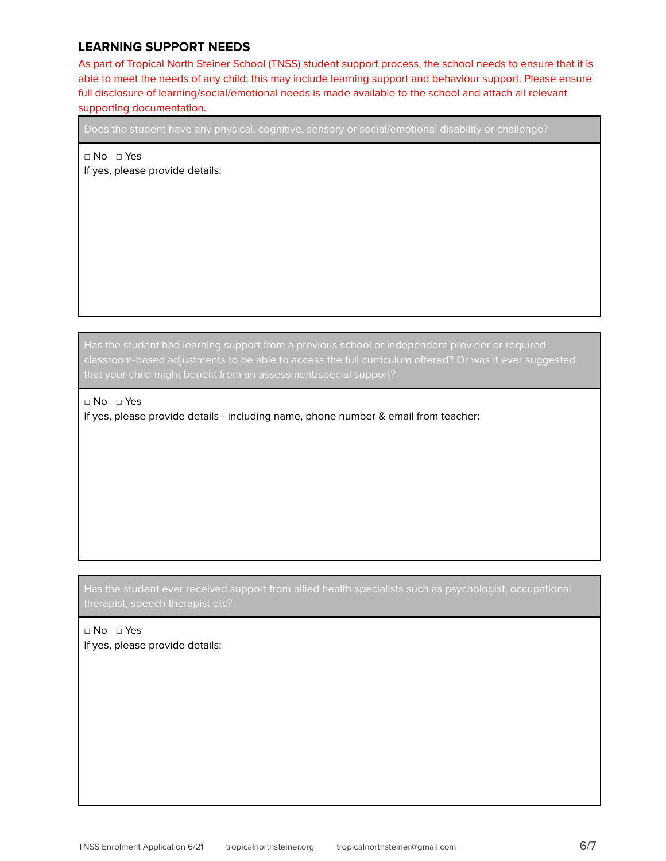#### **LEARNING SUPPORT NEEDS**

As part of Tropical North Steiner School (TNSS) student support process, the school needs to ensure that it is able to meet the needs of any child; this may include learning support and behaviour support. Please ensure full disclosure of learning/social/emotional needs is made available to the school and attach all relevant supporting documentation.

Does the student have any physical, cognitive, sensory or social/emotional disability or challenge?

□ No □ Yes If yes, please provide details:

classroom-based adjustments to be able to access the full curriculum offered? Or was it ever suggested that your child might benefit from an assessment/special support?

□ No □ Yes

If yes, please provide details - including name, phone number & email from teacher:

Has the student ever received support from allied health specialists such as psychologist, occupational

□ No □ Yes If yes, please provide details: